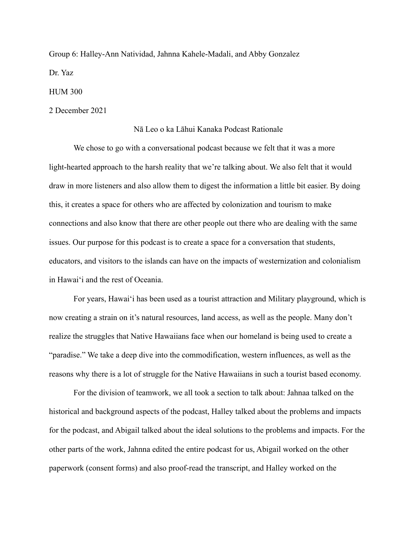Group 6: Halley-Ann Natividad, Jahnna Kahele-Madali, and Abby Gonzalez Dr. Yaz

HUM 300

2 December 2021

## Nā Leo o ka Lāhui Kanaka Podcast Rationale

We chose to go with a conversational podcast because we felt that it was a more light-hearted approach to the harsh reality that we're talking about. We also felt that it would draw in more listeners and also allow them to digest the information a little bit easier. By doing this, it creates a space for others who are affected by colonization and tourism to make connections and also know that there are other people out there who are dealing with the same issues. Our purpose for this podcast is to create a space for a conversation that students, educators, and visitors to the islands can have on the impacts of westernization and colonialism in Hawaiʻi and the rest of Oceania.

For years, Hawaiʻi has been used as a tourist attraction and Military playground, which is now creating a strain on it's natural resources, land access, as well as the people. Many don't realize the struggles that Native Hawaiians face when our homeland is being used to create a "paradise." We take a deep dive into the commodification, western influences, as well as the reasons why there is a lot of struggle for the Native Hawaiians in such a tourist based economy.

For the division of teamwork, we all took a section to talk about: Jahnaa talked on the historical and background aspects of the podcast, Halley talked about the problems and impacts for the podcast, and Abigail talked about the ideal solutions to the problems and impacts. For the other parts of the work, Jahnna edited the entire podcast for us, Abigail worked on the other paperwork (consent forms) and also proof-read the transcript, and Halley worked on the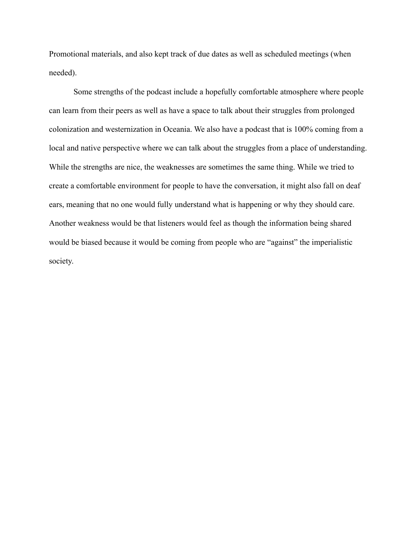Promotional materials, and also kept track of due dates as well as scheduled meetings (when needed).

Some strengths of the podcast include a hopefully comfortable atmosphere where people can learn from their peers as well as have a space to talk about their struggles from prolonged colonization and westernization in Oceania. We also have a podcast that is 100% coming from a local and native perspective where we can talk about the struggles from a place of understanding. While the strengths are nice, the weaknesses are sometimes the same thing. While we tried to create a comfortable environment for people to have the conversation, it might also fall on deaf ears, meaning that no one would fully understand what is happening or why they should care. Another weakness would be that listeners would feel as though the information being shared would be biased because it would be coming from people who are "against" the imperialistic society.